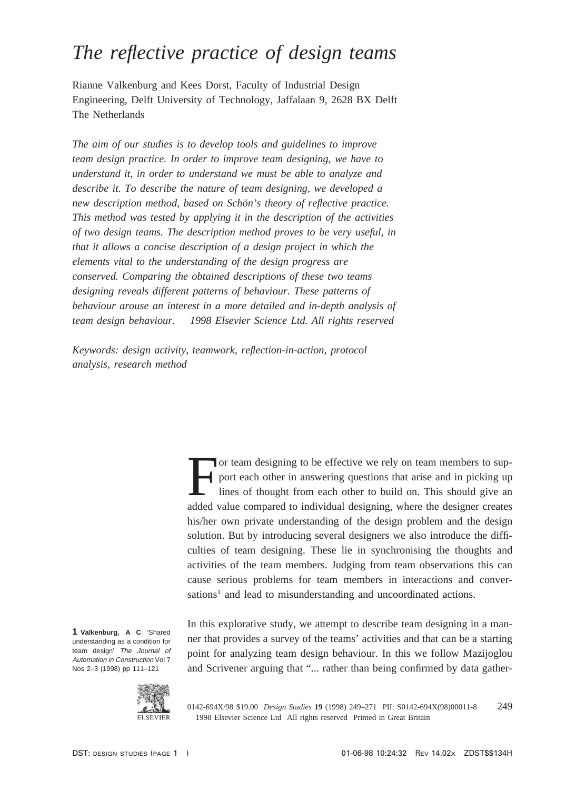# *The reflective practice of design teams*

Rianne Valkenburg and Kees Dorst, Faculty of Industrial Design Engineering, Delft University of Technology, Jaffalaan 9, 2628 BX Delft The Netherlands

*The aim of our studies is to develop tools and guidelines to improve team design practice. In order to improve team designing, we have to understand it, in order to understand we must be able to analyze and describe it. To describe the nature of team designing, we developed a new description method, based on Scho¨n's theory of reflective practice. This method was tested by applying it in the description of the activities of two design teams. The description method proves to be very useful, in that it allows a concise description of a design project in which the elements vital to the understanding of the design progress are conserved. Comparing the obtained descriptions of these two teams designing reveals different patterns of behaviour. These patterns of behaviour arouse an interest in a more detailed and in-depth analysis of team design behaviour. 1998 Elsevier Science Ltd. All rights reserved*

*Keywords: design activity, teamwork, reflection-in-action, protocol analysis, research method*

> For team designing to be effective we rely on team members to sup-<br>port each other in answering questions that arise and in picking up<br>lines of thought from each other to build on. This should give an<br>added value compared port each other in answering questions that arise and in picking up lines of thought from each other to build on. This should give an added value compared to individual designing, where the designer creates his/her own private understanding of the design problem and the design solution. But by introducing several designers we also introduce the difficulties of team designing. These lie in synchronising the thoughts and activities of the team members. Judging from team observations this can cause serious problems for team members in interactions and conversations<sup>1</sup> and lead to misunderstanding and uncoordinated actions.

**1 Valkenburg, A C** 'Shared understanding as a condition for team design' The Journal of Automation in Construction Vol 7 Nos 2–3 (1998) pp 111–121



In this explorative study, we attempt to describe team designing in a manner that provides a survey of the teams' activities and that can be a starting point for analyzing team design behaviour. In this we follow Mazijoglou and Scrivener arguing that "... rather than being confirmed by data gather-

0142-694X/98 \$19.00 *Design Studies* **19** (1998) 249–271 PII: S0142-694X(98)00011-8 249 1998 Elsevier Science Ltd All rights reserved Printed in Great Britain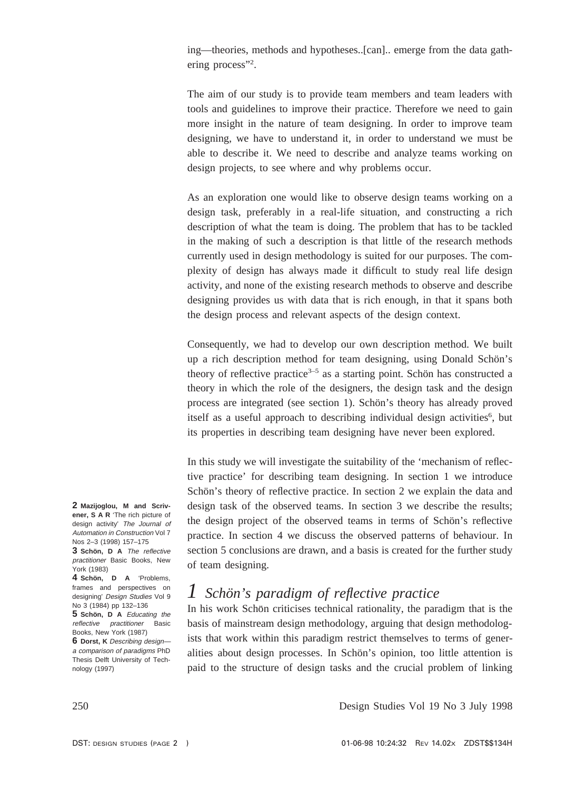ing—theories, methods and hypotheses..[can].. emerge from the data gathering process"<sup>2</sup>.

The aim of our study is to provide team members and team leaders with tools and guidelines to improve their practice. Therefore we need to gain more insight in the nature of team designing. In order to improve team designing, we have to understand it, in order to understand we must be able to describe it. We need to describe and analyze teams working on design projects, to see where and why problems occur.

As an exploration one would like to observe design teams working on a design task, preferably in a real-life situation, and constructing a rich description of what the team is doing. The problem that has to be tackled in the making of such a description is that little of the research methods currently used in design methodology is suited for our purposes. The complexity of design has always made it difficult to study real life design activity, and none of the existing research methods to observe and describe designing provides us with data that is rich enough, in that it spans both the design process and relevant aspects of the design context.

Consequently, we had to develop our own description method. We built up a rich description method for team designing, using Donald Schön's theory of reflective practice<sup>3–5</sup> as a starting point. Schön has constructed a theory in which the role of the designers, the design task and the design process are integrated (see section 1). Schön's theory has already proved itself as a useful approach to describing individual design activities<sup>6</sup>, but its properties in describing team designing have never been explored.

In this study we will investigate the suitability of the 'mechanism of reflective practice' for describing team designing. In section 1 we introduce Schön's theory of reflective practice. In section 2 we explain the data and design task of the observed teams. In section 3 we describe the results; the design project of the observed teams in terms of Schön's reflective practice. In section 4 we discuss the observed patterns of behaviour. In section 5 conclusions are drawn, and a basis is created for the further study of team designing.

### *1 Scho¨n's paradigm of reflective practice*

In his work Schön criticises technical rationality, the paradigm that is the basis of mainstream design methodology, arguing that design methodologists that work within this paradigm restrict themselves to terms of generalities about design processes. In Schön's opinion, too little attention is paid to the structure of design tasks and the crucial problem of linking

**ener, S A R** 'The rich picture of design activity' The Journal of Automation in Construction Vol 7 Nos 2–3 (1998) 157–175 **3 Schön**, D A The reflective practitioner Basic Books, New

**2 Mazijoglou, M and Scriv-**

York (1983) **4 Scho¨n, D A** 'Problems, frames and perspectives on designing' Design Studies Vol 9 No 3 (1984) pp 132–136

**5** Schön, D A Educating the reflective practitioner Basic Books, New York (1987) **6 Dorst, K** Describing design—

<sup>a</sup> comparison of paradigms PhD Thesis Delft University of Technology (1997)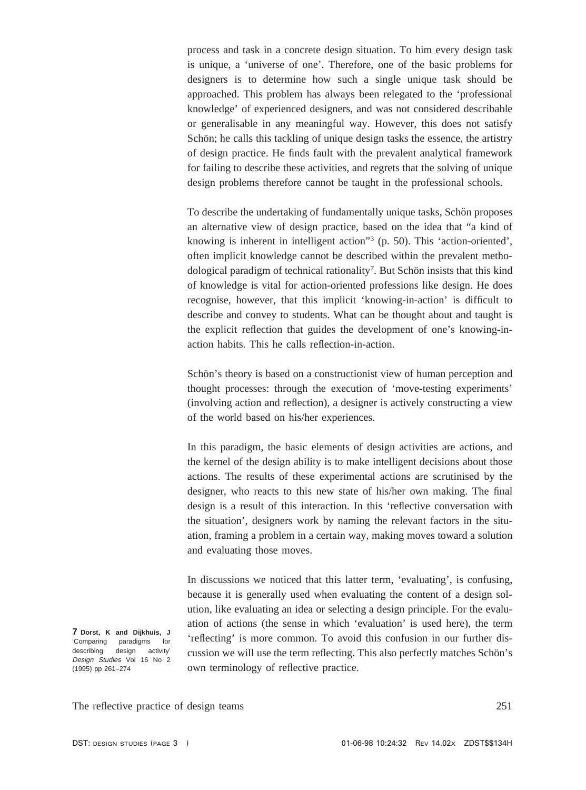process and task in a concrete design situation. To him every design task is unique, a 'universe of one'. Therefore, one of the basic problems for designers is to determine how such a single unique task should be approached. This problem has always been relegated to the 'professional knowledge' of experienced designers, and was not considered describable or generalisable in any meaningful way. However, this does not satisfy Schön; he calls this tackling of unique design tasks the essence, the artistry of design practice. He finds fault with the prevalent analytical framework for failing to describe these activities, and regrets that the solving of unique design problems therefore cannot be taught in the professional schools.

To describe the undertaking of fundamentally unique tasks, Schön proposes an alternative view of design practice, based on the idea that "a kind of knowing is inherent in intelligent action"<sup>3</sup> (p. 50). This 'action-oriented', often implicit knowledge cannot be described within the prevalent methodological paradigm of technical rationality<sup>7</sup>. But Schön insists that this kind of knowledge is vital for action-oriented professions like design. He does recognise, however, that this implicit 'knowing-in-action' is difficult to describe and convey to students. What can be thought about and taught is the explicit reflection that guides the development of one's knowing-inaction habits. This he calls reflection-in-action.

Schön's theory is based on a constructionist view of human perception and thought processes: through the execution of 'move-testing experiments' (involving action and reflection), a designer is actively constructing a view of the world based on his/her experiences.

In this paradigm, the basic elements of design activities are actions, and the kernel of the design ability is to make intelligent decisions about those actions. The results of these experimental actions are scrutinised by the designer, who reacts to this new state of his/her own making. The final design is a result of this interaction. In this 'reflective conversation with the situation', designers work by naming the relevant factors in the situation, framing a problem in a certain way, making moves toward a solution and evaluating those moves.

In discussions we noticed that this latter term, 'evaluating', is confusing, because it is generally used when evaluating the content of a design solution, like evaluating an idea or selecting a design principle. For the evaluation of actions (the sense in which 'evaluation' is used here), the term 'reflecting' is more common. To avoid this confusion in our further discussion we will use the term reflecting. This also perfectly matches Schön's own terminology of reflective practice.

**7 Dorst, K and Dijkhuis, J** 'Comparing paradigms for describing design activity' Design Studies Vol 16 No 2 (1995) pp 261–274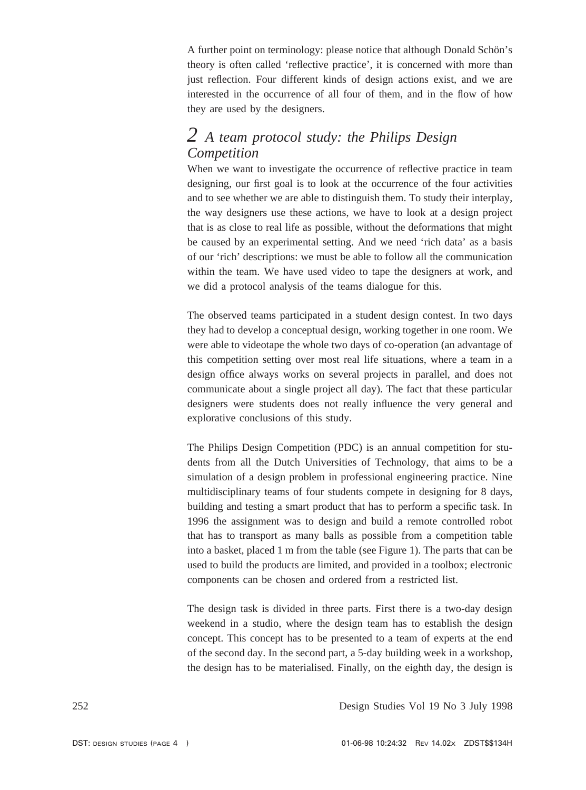A further point on terminology: please notice that although Donald Schön's theory is often called 'reflective practice', it is concerned with more than just reflection. Four different kinds of design actions exist, and we are interested in the occurrence of all four of them, and in the flow of how they are used by the designers.

## *2 A team protocol study: the Philips Design Competition*

When we want to investigate the occurrence of reflective practice in team designing, our first goal is to look at the occurrence of the four activities and to see whether we are able to distinguish them. To study their interplay, the way designers use these actions, we have to look at a design project that is as close to real life as possible, without the deformations that might be caused by an experimental setting. And we need 'rich data' as a basis of our 'rich' descriptions: we must be able to follow all the communication within the team. We have used video to tape the designers at work, and we did a protocol analysis of the teams dialogue for this.

The observed teams participated in a student design contest. In two days they had to develop a conceptual design, working together in one room. We were able to videotape the whole two days of co-operation (an advantage of this competition setting over most real life situations, where a team in a design office always works on several projects in parallel, and does not communicate about a single project all day). The fact that these particular designers were students does not really influence the very general and explorative conclusions of this study.

The Philips Design Competition (PDC) is an annual competition for students from all the Dutch Universities of Technology, that aims to be a simulation of a design problem in professional engineering practice. Nine multidisciplinary teams of four students compete in designing for 8 days, building and testing a smart product that has to perform a specific task. In 1996 the assignment was to design and build a remote controlled robot that has to transport as many balls as possible from a competition table into a basket, placed 1 m from the table (see Figure 1). The parts that can be used to build the products are limited, and provided in a toolbox; electronic components can be chosen and ordered from a restricted list.

The design task is divided in three parts. First there is a two-day design weekend in a studio, where the design team has to establish the design concept. This concept has to be presented to a team of experts at the end of the second day. In the second part, a 5-day building week in a workshop, the design has to be materialised. Finally, on the eighth day, the design is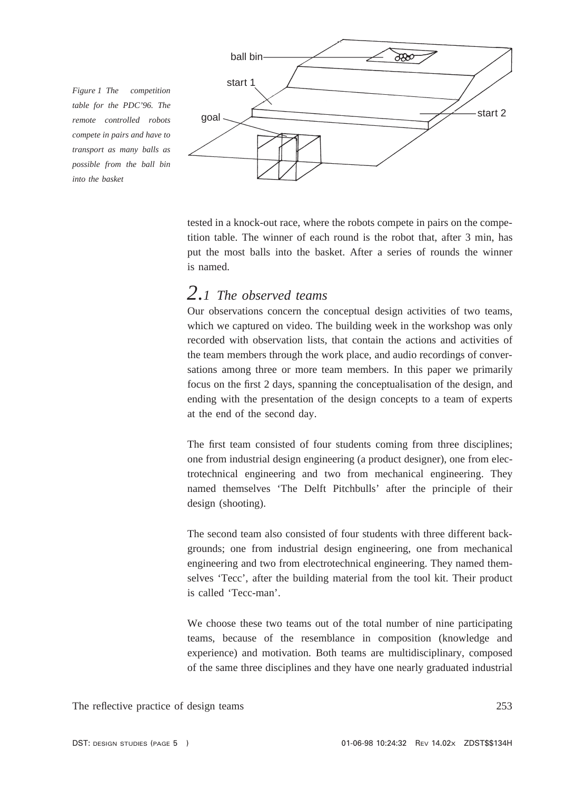*Figure 1 The competition table for the PDC'96. The remote controlled robots compete in pairs and have to transport as many balls as possible from the ball bin into the basket*



tested in a knock-out race, where the robots compete in pairs on the competition table. The winner of each round is the robot that, after 3 min, has put the most balls into the basket. After a series of rounds the winner is named.

## *2.1 The observed teams*

Our observations concern the conceptual design activities of two teams, which we captured on video. The building week in the workshop was only recorded with observation lists, that contain the actions and activities of the team members through the work place, and audio recordings of conversations among three or more team members. In this paper we primarily focus on the first 2 days, spanning the conceptualisation of the design, and ending with the presentation of the design concepts to a team of experts at the end of the second day.

The first team consisted of four students coming from three disciplines; one from industrial design engineering (a product designer), one from electrotechnical engineering and two from mechanical engineering. They named themselves 'The Delft Pitchbulls' after the principle of their design (shooting).

The second team also consisted of four students with three different backgrounds; one from industrial design engineering, one from mechanical engineering and two from electrotechnical engineering. They named themselves 'Tecc', after the building material from the tool kit. Their product is called 'Tecc-man'.

We choose these two teams out of the total number of nine participating teams, because of the resemblance in composition (knowledge and experience) and motivation. Both teams are multidisciplinary, composed of the same three disciplines and they have one nearly graduated industrial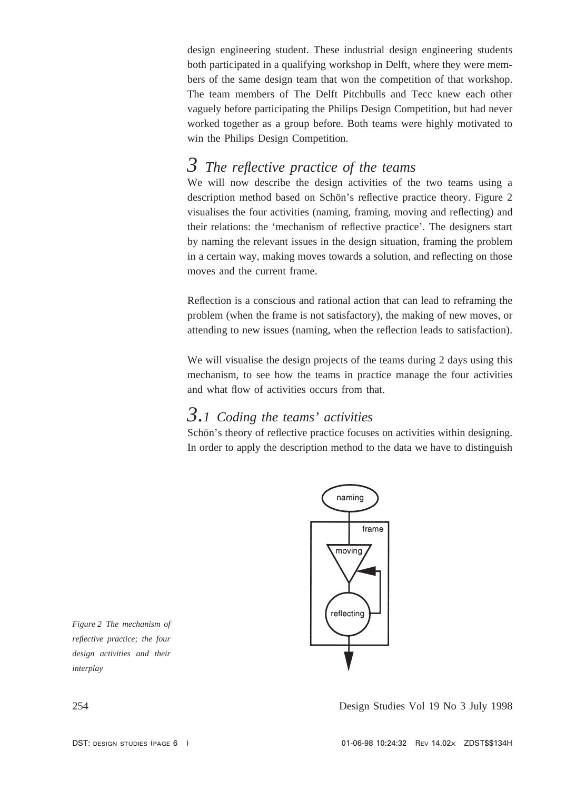design engineering student. These industrial design engineering students both participated in a qualifying workshop in Delft, where they were members of the same design team that won the competition of that workshop. The team members of The Delft Pitchbulls and Tecc knew each other vaguely before participating the Philips Design Competition, but had never worked together as a group before. Both teams were highly motivated to win the Philips Design Competition.

## *3 The reflective practice of the teams*

We will now describe the design activities of the two teams using a description method based on Schön's reflective practice theory. Figure 2 visualises the four activities (naming, framing, moving and reflecting) and their relations: the 'mechanism of reflective practice'. The designers start by naming the relevant issues in the design situation, framing the problem in a certain way, making moves towards a solution, and reflecting on those moves and the current frame.

Reflection is a conscious and rational action that can lead to reframing the problem (when the frame is not satisfactory), the making of new moves, or attending to new issues (naming, when the reflection leads to satisfaction).

We will visualise the design projects of the teams during 2 days using this mechanism, to see how the teams in practice manage the four activities and what flow of activities occurs from that.

## *3.1 Coding the teams' activities*

Schön's theory of reflective practice focuses on activities within designing. In order to apply the description method to the data we have to distinguish



*Figure 2 The mechanism of reflective practice; the four design activities and their interplay*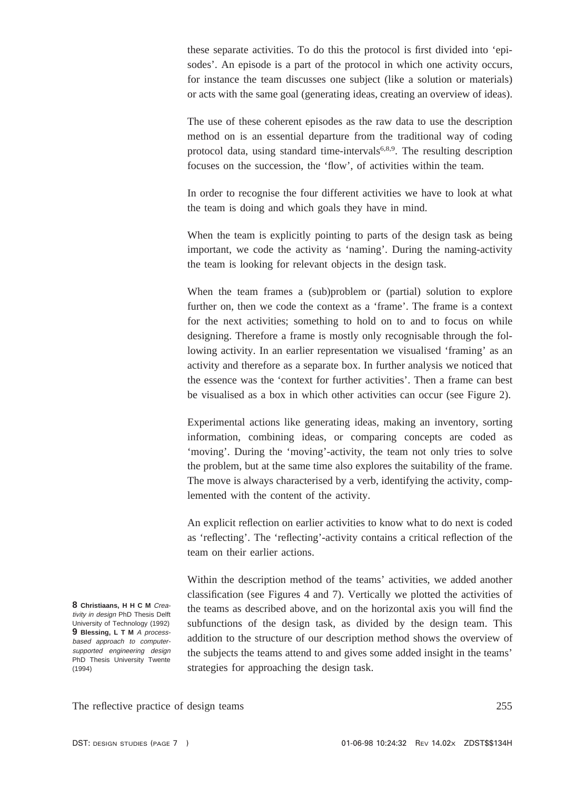these separate activities. To do this the protocol is first divided into 'episodes'. An episode is a part of the protocol in which one activity occurs, for instance the team discusses one subject (like a solution or materials) or acts with the same goal (generating ideas, creating an overview of ideas).

The use of these coherent episodes as the raw data to use the description method on is an essential departure from the traditional way of coding protocol data, using standard time-intervals<sup>6,8,9</sup>. The resulting description focuses on the succession, the 'flow', of activities within the team.

In order to recognise the four different activities we have to look at what the team is doing and which goals they have in mind.

When the team is explicitly pointing to parts of the design task as being important, we code the activity as 'naming'. During the naming-activity the team is looking for relevant objects in the design task.

When the team frames a (sub)problem or (partial) solution to explore further on, then we code the context as a 'frame'. The frame is a context for the next activities; something to hold on to and to focus on while designing. Therefore a frame is mostly only recognisable through the following activity. In an earlier representation we visualised 'framing' as an activity and therefore as a separate box. In further analysis we noticed that the essence was the 'context for further activities'. Then a frame can best be visualised as a box in which other activities can occur (see Figure 2).

Experimental actions like generating ideas, making an inventory, sorting information, combining ideas, or comparing concepts are coded as 'moving'. During the 'moving'-activity, the team not only tries to solve the problem, but at the same time also explores the suitability of the frame. The move is always characterised by a verb, identifying the activity, complemented with the content of the activity.

An explicit reflection on earlier activities to know what to do next is coded as 'reflecting'. The 'reflecting'-activity contains a critical reflection of the team on their earlier actions.

Within the description method of the teams' activities, we added another classification (see Figures 4 and 7). Vertically we plotted the activities of the teams as described above, and on the horizontal axis you will find the subfunctions of the design task, as divided by the design team. This addition to the structure of our description method shows the overview of the subjects the teams attend to and gives some added insight in the teams' strategies for approaching the design task.

**8 Christiaans, HHCM** Creativity in design PhD Thesis Delft University of Technology (1992) **9 Blessing, L T M** <sup>A</sup> processbased approach to computersupported engineering design PhD Thesis University Twente (1994)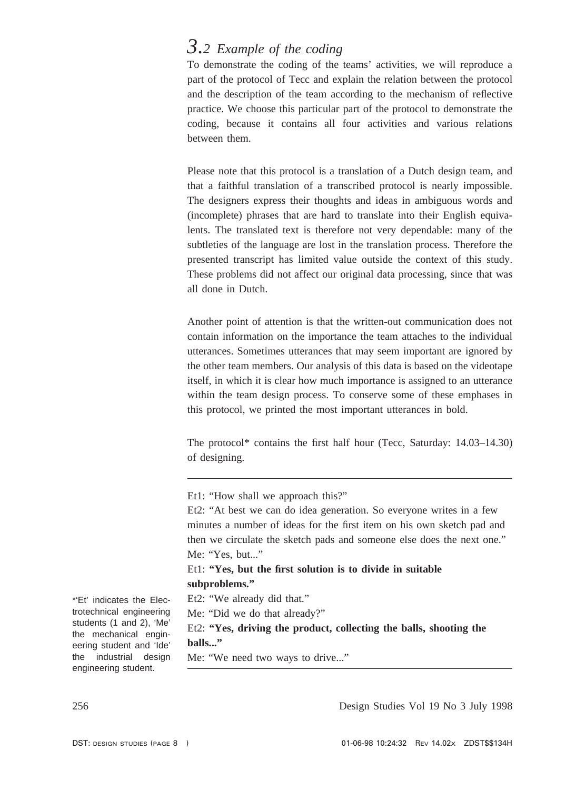### *3.2 Example of the coding*

To demonstrate the coding of the teams' activities, we will reproduce a part of the protocol of Tecc and explain the relation between the protocol and the description of the team according to the mechanism of reflective practice. We choose this particular part of the protocol to demonstrate the coding, because it contains all four activities and various relations between them.

Please note that this protocol is a translation of a Dutch design team, and that a faithful translation of a transcribed protocol is nearly impossible. The designers express their thoughts and ideas in ambiguous words and (incomplete) phrases that are hard to translate into their English equivalents. The translated text is therefore not very dependable: many of the subtleties of the language are lost in the translation process. Therefore the presented transcript has limited value outside the context of this study. These problems did not affect our original data processing, since that was all done in Dutch.

Another point of attention is that the written-out communication does not contain information on the importance the team attaches to the individual utterances. Sometimes utterances that may seem important are ignored by the other team members. Our analysis of this data is based on the videotape itself, in which it is clear how much importance is assigned to an utterance within the team design process. To conserve some of these emphases in this protocol, we printed the most important utterances in bold.

The protocol\* contains the first half hour (Tecc, Saturday: 14.03–14.30) of designing.

Et1: "How shall we approach this?"

Et2: "At best we can do idea generation. So everyone writes in a few minutes a number of ideas for the first item on his own sketch pad and then we circulate the sketch pads and someone else does the next one." Me: "Yes, but..."

Et1: **"Yes, but the first solution is to divide in suitable subproblems."**

Et2: "We already did that."

Me: "Did we do that already?"

Et2: **"Yes, driving the product, collecting the balls, shooting the balls..."**

Me: "We need two ways to drive..."

256 Design Studies Vol 19 No 3 July 1998

\*'Et' indicates the Electrotechnical engineering students (1 and 2), 'Me' the mechanical engineering student and 'Ide' the industrial design engineering student.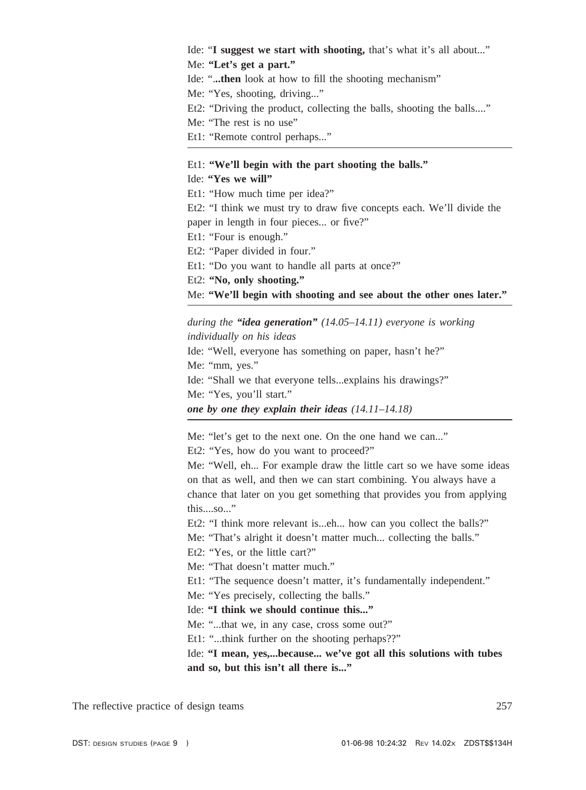Ide: "**I suggest we start with shooting,** that's what it's all about..." Me: **"Let's get a part."**

Ide: ".**..then** look at how to fill the shooting mechanism"

Me: "Yes, shooting, driving..."

Et2: "Driving the product, collecting the balls, shooting the balls...."

Me: "The rest is no use"

Et1: "Remote control perhaps..."

#### Et1: **"We'll begin with the part shooting the balls."**

Ide: **"Yes we will"**

Et1: "How much time per idea?"

Et2: "I think we must try to draw five concepts each. We'll divide the paper in length in four pieces... or five?"

Et1: "Four is enough."

Et2: "Paper divided in four."

Et1: "Do you want to handle all parts at once?"

Et2: **"No, only shooting."**

Me: **"We'll begin with shooting and see about the other ones later."**

*during the "idea generation" (14.05–14.11) everyone is working individually on his ideas* Ide: "Well, everyone has something on paper, hasn't he?" Me: "mm, yes." Ide: "Shall we that everyone tells...explains his drawings?" Me: "Yes, you'll start." *one by one they explain their ideas (14.11–14.18)*

Me: "let's get to the next one. On the one hand we can..."

Et2: "Yes, how do you want to proceed?"

Me: "Well, eh... For example draw the little cart so we have some ideas on that as well, and then we can start combining. You always have a chance that later on you get something that provides you from applying this....so..."

Et2: "I think more relevant is...eh... how can you collect the balls?"

Me: "That's alright it doesn't matter much... collecting the balls."

Et2: "Yes, or the little cart?"

Me: "That doesn't matter much."

Et1: "The sequence doesn't matter, it's fundamentally independent."

Me: "Yes precisely, collecting the balls."

Ide: **"I think we should continue this..."**

Me: "...that we, in any case, cross some out?"

Et1: "...think further on the shooting perhaps??"

Ide: **"I mean, yes,...because... we've got all this solutions with tubes and so, but this isn't all there is..."**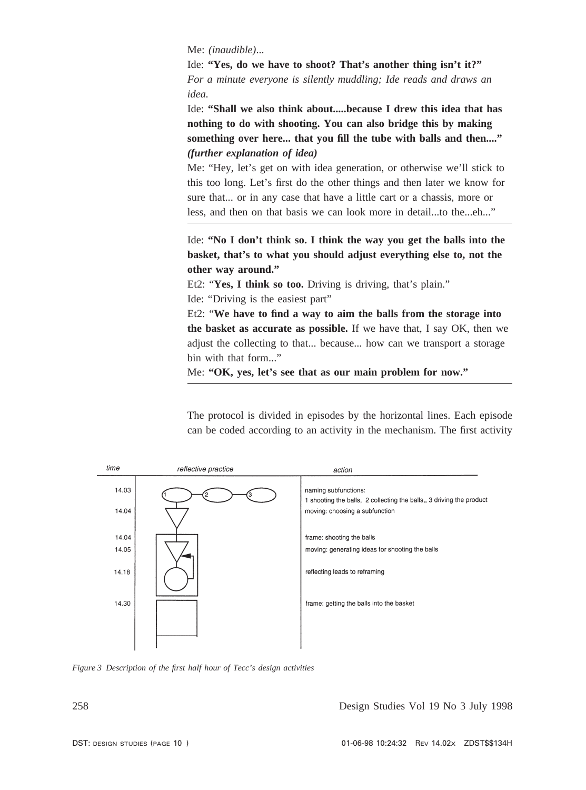Me: *(inaudible)*...

Ide: **"Yes, do we have to shoot? That's another thing isn't it?"** *For a minute everyone is silently muddling; Ide reads and draws an idea.*

Ide: **"Shall we also think about.....because I drew this idea that has nothing to do with shooting. You can also bridge this by making something over here... that you fill the tube with balls and then...."** *(further explanation of idea)*

Me: "Hey, let's get on with idea generation, or otherwise we'll stick to this too long. Let's first do the other things and then later we know for sure that... or in any case that have a little cart or a chassis, more or less, and then on that basis we can look more in detail...to the...eh..."

Ide: **"No I don't think so. I think the way you get the balls into the basket, that's to what you should adjust everything else to, not the other way around."**

Et2: "**Yes, I think so too.** Driving is driving, that's plain."

Ide: "Driving is the easiest part"

Et2: "**We have to find a way to aim the balls from the storage into the basket as accurate as possible.** If we have that, I say OK, then we adjust the collecting to that... because... how can we transport a storage bin with that form..."

Me: **"OK, yes, let's see that as our main problem for now."**

The protocol is divided in episodes by the horizontal lines. Each episode can be coded according to an activity in the mechanism. The first activity



*Figure 3 Description of the first half hour of Tecc's design activities*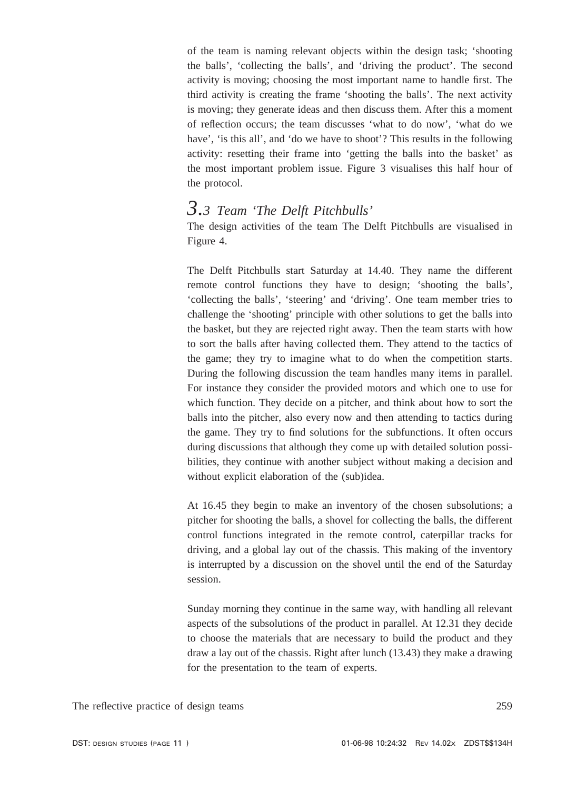of the team is naming relevant objects within the design task; 'shooting the balls', 'collecting the balls', and 'driving the product'. The second activity is moving; choosing the most important name to handle first. The third activity is creating the frame 'shooting the balls'. The next activity is moving; they generate ideas and then discuss them. After this a moment of reflection occurs; the team discusses 'what to do now', 'what do we have', 'is this all', and 'do we have to shoot'? This results in the following activity: resetting their frame into 'getting the balls into the basket' as the most important problem issue. Figure 3 visualises this half hour of the protocol.

### *3.3 Team 'The Delft Pitchbulls'*

The design activities of the team The Delft Pitchbulls are visualised in Figure 4.

The Delft Pitchbulls start Saturday at 14.40. They name the different remote control functions they have to design; 'shooting the balls', 'collecting the balls', 'steering' and 'driving'. One team member tries to challenge the 'shooting' principle with other solutions to get the balls into the basket, but they are rejected right away. Then the team starts with how to sort the balls after having collected them. They attend to the tactics of the game; they try to imagine what to do when the competition starts. During the following discussion the team handles many items in parallel. For instance they consider the provided motors and which one to use for which function. They decide on a pitcher, and think about how to sort the balls into the pitcher, also every now and then attending to tactics during the game. They try to find solutions for the subfunctions. It often occurs during discussions that although they come up with detailed solution possibilities, they continue with another subject without making a decision and without explicit elaboration of the (sub)idea.

At 16.45 they begin to make an inventory of the chosen subsolutions; a pitcher for shooting the balls, a shovel for collecting the balls, the different control functions integrated in the remote control, caterpillar tracks for driving, and a global lay out of the chassis. This making of the inventory is interrupted by a discussion on the shovel until the end of the Saturday session.

Sunday morning they continue in the same way, with handling all relevant aspects of the subsolutions of the product in parallel. At 12.31 they decide to choose the materials that are necessary to build the product and they draw a lay out of the chassis. Right after lunch (13.43) they make a drawing for the presentation to the team of experts.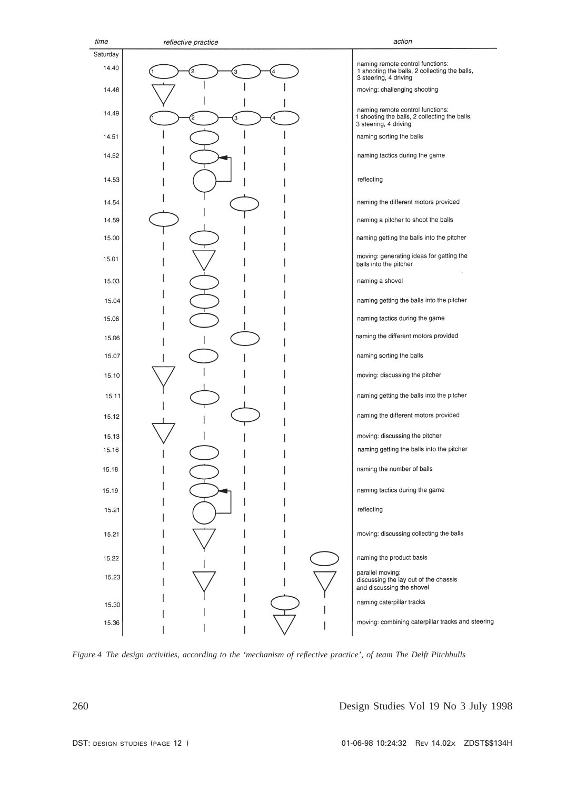

*Figure 4 The design activities, according to the 'mechanism of reflective practice', of team The Delft Pitchbulls*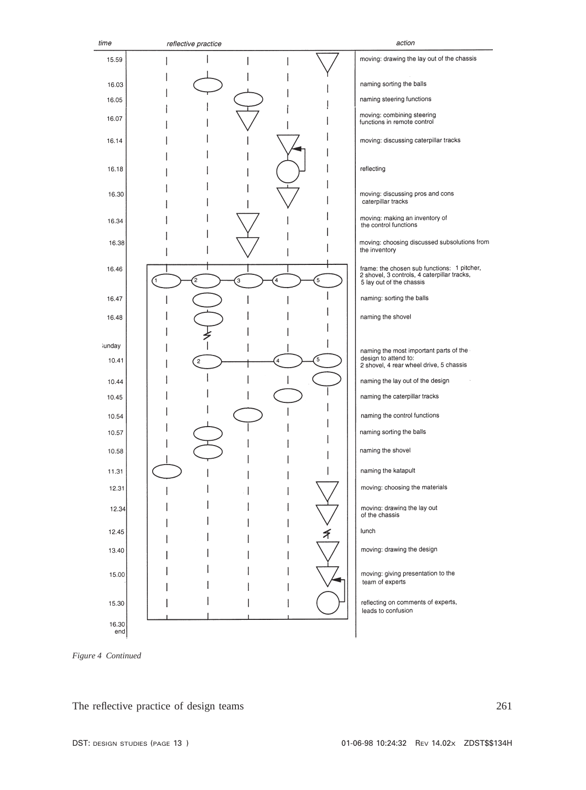

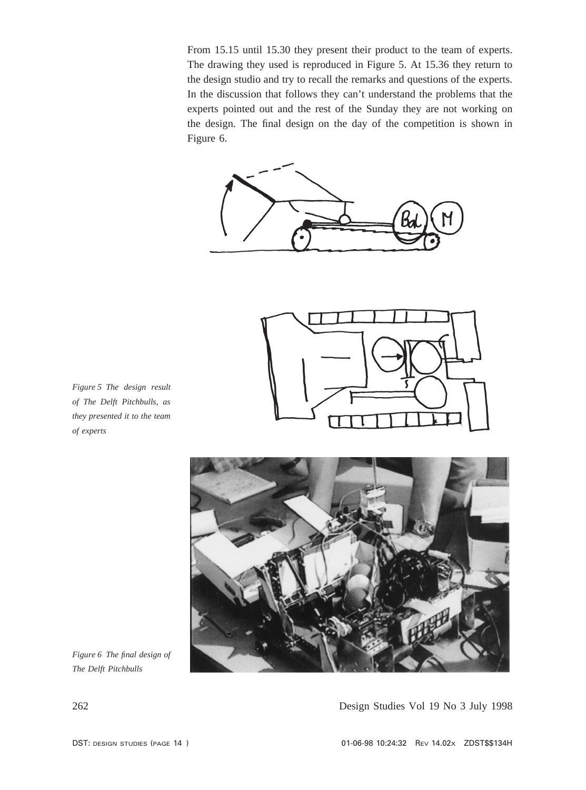From 15.15 until 15.30 they present their product to the team of experts. The drawing they used is reproduced in Figure 5. At 15.36 they return to the design studio and try to recall the remarks and questions of the experts. In the discussion that follows they can't understand the problems that the experts pointed out and the rest of the Sunday they are not working on the design. The final design on the day of the competition is shown in Figure 6.









*Figure 6 The final design of The Delft Pitchbulls*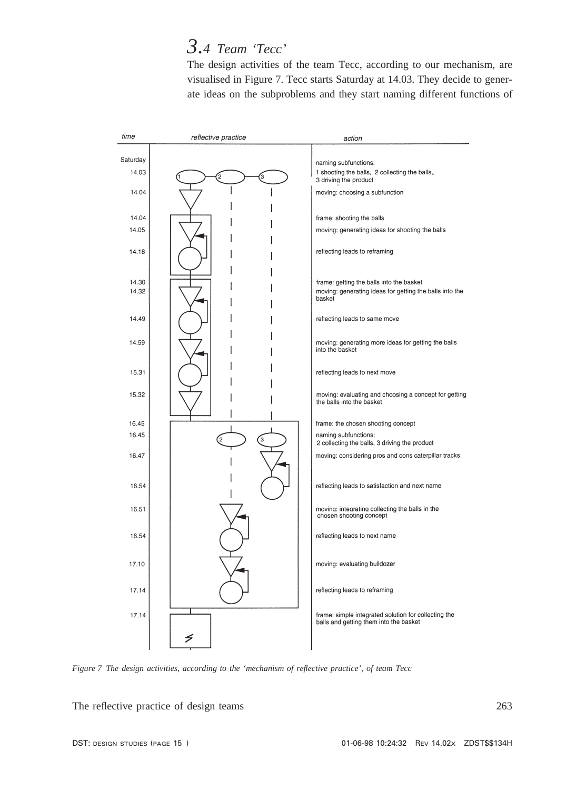## *3.4 Team 'Tecc'*

The design activities of the team Tecc, according to our mechanism, are visualised in Figure 7. Tecc starts Saturday at 14.03. They decide to generate ideas on the subproblems and they start naming different functions of



*Figure 7 The design activities, according to the 'mechanism of reflective practice', of team Tecc*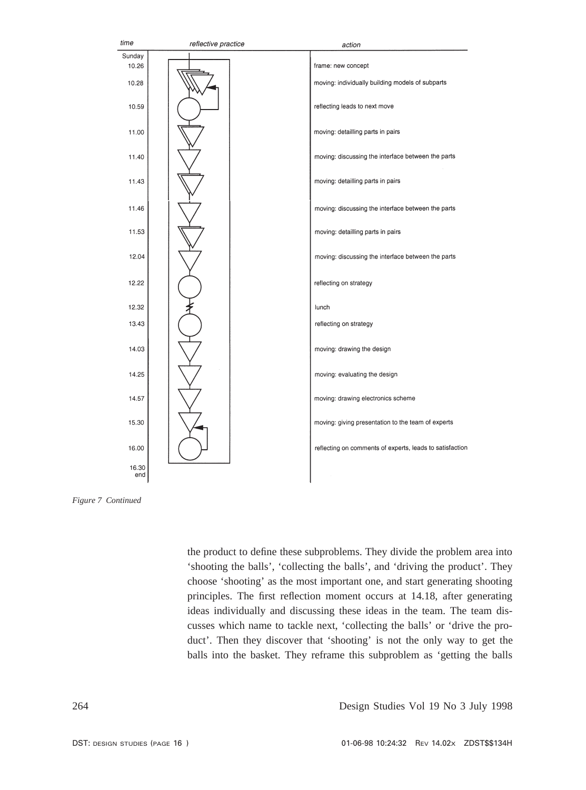

*Figure 7 Continued*

the product to define these subproblems. They divide the problem area into 'shooting the balls', 'collecting the balls', and 'driving the product'. They choose 'shooting' as the most important one, and start generating shooting principles. The first reflection moment occurs at 14.18, after generating ideas individually and discussing these ideas in the team. The team discusses which name to tackle next, 'collecting the balls' or 'drive the product'. Then they discover that 'shooting' is not the only way to get the balls into the basket. They reframe this subproblem as 'getting the balls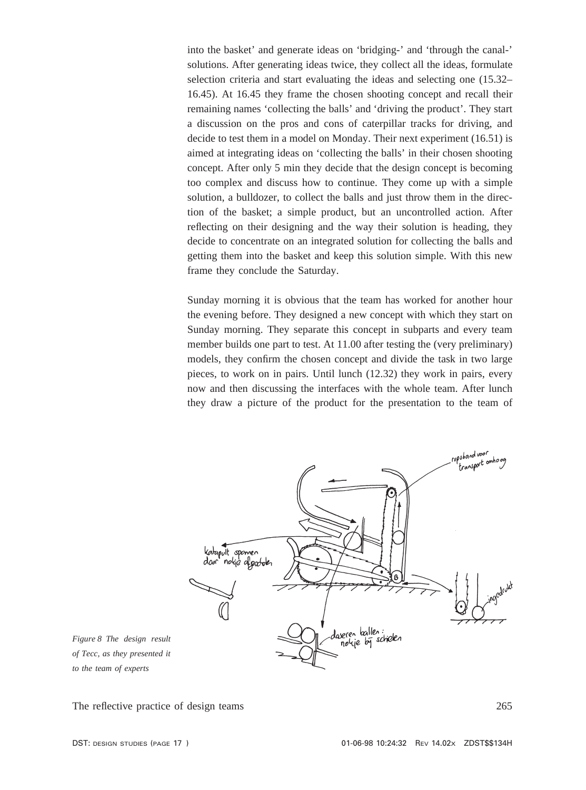into the basket' and generate ideas on 'bridging-' and 'through the canal-' solutions. After generating ideas twice, they collect all the ideas, formulate selection criteria and start evaluating the ideas and selecting one (15.32– 16.45). At 16.45 they frame the chosen shooting concept and recall their remaining names 'collecting the balls' and 'driving the product'. They start a discussion on the pros and cons of caterpillar tracks for driving, and decide to test them in a model on Monday. Their next experiment (16.51) is aimed at integrating ideas on 'collecting the balls' in their chosen shooting concept. After only 5 min they decide that the design concept is becoming too complex and discuss how to continue. They come up with a simple solution, a bulldozer, to collect the balls and just throw them in the direction of the basket; a simple product, but an uncontrolled action. After reflecting on their designing and the way their solution is heading, they decide to concentrate on an integrated solution for collecting the balls and getting them into the basket and keep this solution simple. With this new frame they conclude the Saturday.

Sunday morning it is obvious that the team has worked for another hour the evening before. They designed a new concept with which they start on Sunday morning. They separate this concept in subparts and every team member builds one part to test. At 11.00 after testing the (very preliminary) models, they confirm the chosen concept and divide the task in two large pieces, to work on in pairs. Until lunch (12.32) they work in pairs, every now and then discussing the interfaces with the whole team. After lunch they draw a picture of the product for the presentation to the team of



*Figure 8 The design result of Tecc, as they presented it to the team of experts*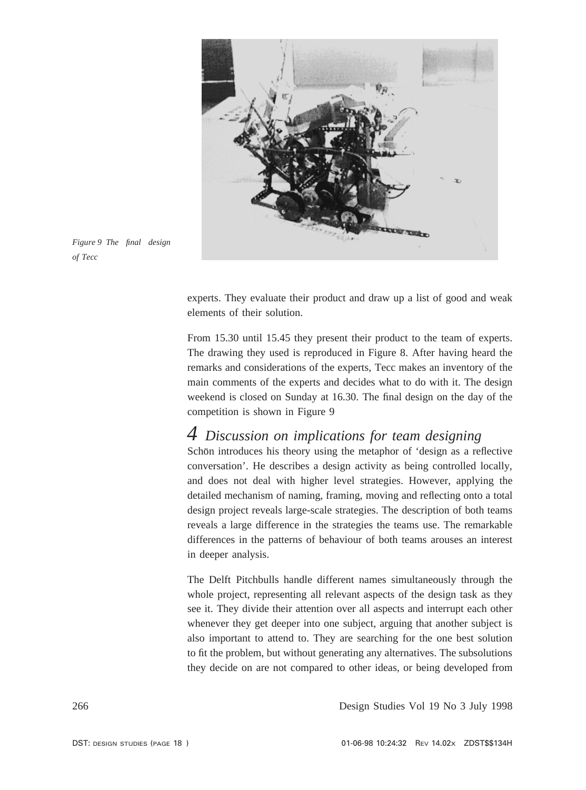

*Figure 9 The final design of Tecc*

experts. They evaluate their product and draw up a list of good and weak elements of their solution.

From 15.30 until 15.45 they present their product to the team of experts. The drawing they used is reproduced in Figure 8. After having heard the remarks and considerations of the experts, Tecc makes an inventory of the main comments of the experts and decides what to do with it. The design weekend is closed on Sunday at 16.30. The final design on the day of the competition is shown in Figure 9

## *4 Discussion on implications for team designing*

Schön introduces his theory using the metaphor of 'design as a reflective conversation'. He describes a design activity as being controlled locally, and does not deal with higher level strategies. However, applying the detailed mechanism of naming, framing, moving and reflecting onto a total design project reveals large-scale strategies. The description of both teams reveals a large difference in the strategies the teams use. The remarkable differences in the patterns of behaviour of both teams arouses an interest in deeper analysis.

The Delft Pitchbulls handle different names simultaneously through the whole project, representing all relevant aspects of the design task as they see it. They divide their attention over all aspects and interrupt each other whenever they get deeper into one subject, arguing that another subject is also important to attend to. They are searching for the one best solution to fit the problem, but without generating any alternatives. The subsolutions they decide on are not compared to other ideas, or being developed from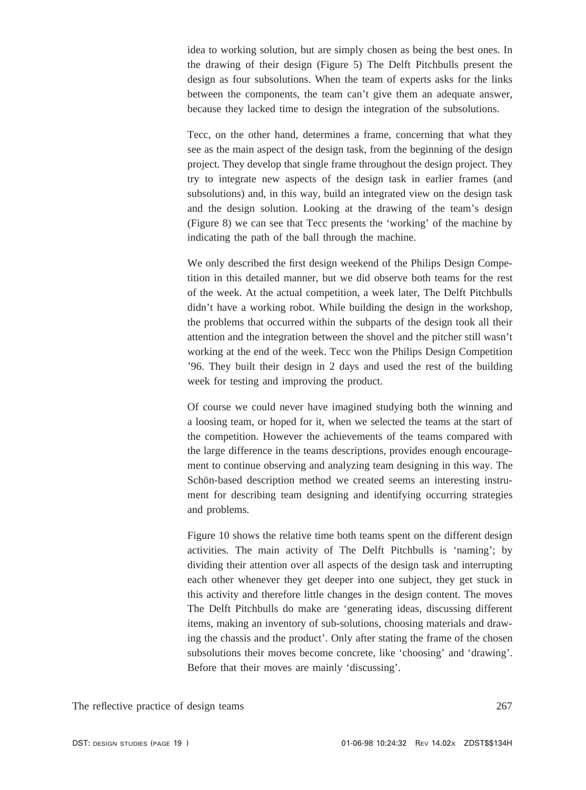idea to working solution, but are simply chosen as being the best ones. In the drawing of their design (Figure 5) The Delft Pitchbulls present the design as four subsolutions. When the team of experts asks for the links between the components, the team can't give them an adequate answer, because they lacked time to design the integration of the subsolutions.

Tecc, on the other hand, determines a frame, concerning that what they see as the main aspect of the design task, from the beginning of the design project. They develop that single frame throughout the design project. They try to integrate new aspects of the design task in earlier frames (and subsolutions) and, in this way, build an integrated view on the design task and the design solution. Looking at the drawing of the team's design (Figure 8) we can see that Tecc presents the 'working' of the machine by indicating the path of the ball through the machine.

We only described the first design weekend of the Philips Design Competition in this detailed manner, but we did observe both teams for the rest of the week. At the actual competition, a week later, The Delft Pitchbulls didn't have a working robot. While building the design in the workshop, the problems that occurred within the subparts of the design took all their attention and the integration between the shovel and the pitcher still wasn't working at the end of the week. Tecc won the Philips Design Competition '96. They built their design in 2 days and used the rest of the building week for testing and improving the product.

Of course we could never have imagined studying both the winning and a loosing team, or hoped for it, when we selected the teams at the start of the competition. However the achievements of the teams compared with the large difference in the teams descriptions, provides enough encouragement to continue observing and analyzing team designing in this way. The Schön-based description method we created seems an interesting instrument for describing team designing and identifying occurring strategies and problems.

Figure 10 shows the relative time both teams spent on the different design activities. The main activity of The Delft Pitchbulls is 'naming'; by dividing their attention over all aspects of the design task and interrupting each other whenever they get deeper into one subject, they get stuck in this activity and therefore little changes in the design content. The moves The Delft Pitchbulls do make are 'generating ideas, discussing different items, making an inventory of sub-solutions, choosing materials and drawing the chassis and the product'. Only after stating the frame of the chosen subsolutions their moves become concrete, like 'choosing' and 'drawing'. Before that their moves are mainly 'discussing'.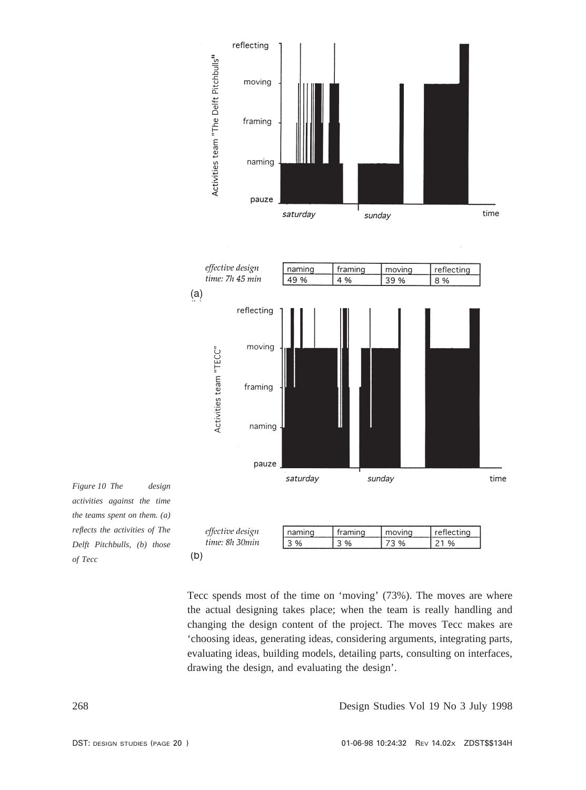

*Figure 10 The design activities against the time the teams spent on them. (a) reflects the activities of The Delft Pitchbulls, (b) those of Tecc*

> Tecc spends most of the time on 'moving' (73%). The moves are where the actual designing takes place; when the team is really handling and changing the design content of the project. The moves Tecc makes are 'choosing ideas, generating ideas, considering arguments, integrating parts, evaluating ideas, building models, detailing parts, consulting on interfaces, drawing the design, and evaluating the design'.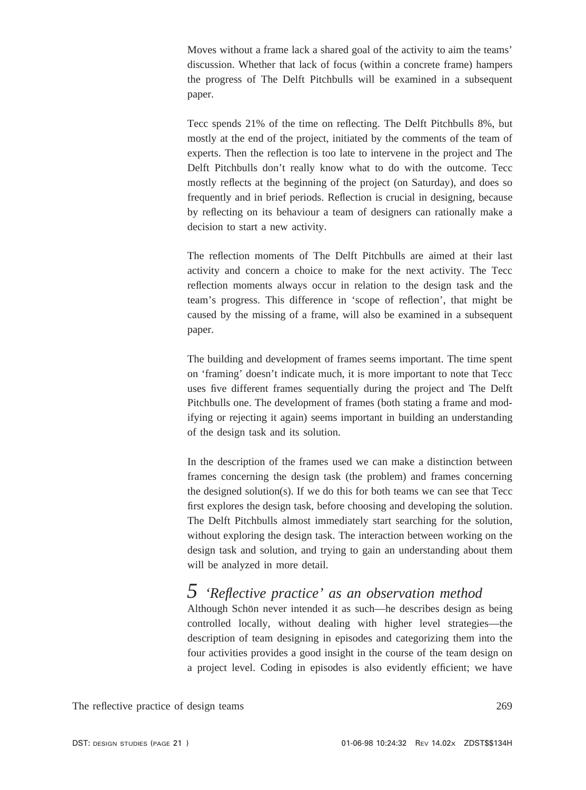Moves without a frame lack a shared goal of the activity to aim the teams' discussion. Whether that lack of focus (within a concrete frame) hampers the progress of The Delft Pitchbulls will be examined in a subsequent paper.

Tecc spends 21% of the time on reflecting. The Delft Pitchbulls 8%, but mostly at the end of the project, initiated by the comments of the team of experts. Then the reflection is too late to intervene in the project and The Delft Pitchbulls don't really know what to do with the outcome. Tecc mostly reflects at the beginning of the project (on Saturday), and does so frequently and in brief periods. Reflection is crucial in designing, because by reflecting on its behaviour a team of designers can rationally make a decision to start a new activity.

The reflection moments of The Delft Pitchbulls are aimed at their last activity and concern a choice to make for the next activity. The Tecc reflection moments always occur in relation to the design task and the team's progress. This difference in 'scope of reflection', that might be caused by the missing of a frame, will also be examined in a subsequent paper.

The building and development of frames seems important. The time spent on 'framing' doesn't indicate much, it is more important to note that Tecc uses five different frames sequentially during the project and The Delft Pitchbulls one. The development of frames (both stating a frame and modifying or rejecting it again) seems important in building an understanding of the design task and its solution.

In the description of the frames used we can make a distinction between frames concerning the design task (the problem) and frames concerning the designed solution(s). If we do this for both teams we can see that Tecc first explores the design task, before choosing and developing the solution. The Delft Pitchbulls almost immediately start searching for the solution, without exploring the design task. The interaction between working on the design task and solution, and trying to gain an understanding about them will be analyzed in more detail.

## *5 'Reflective practice' as an observation method*

Although Schön never intended it as such—he describes design as being controlled locally, without dealing with higher level strategies—the description of team designing in episodes and categorizing them into the four activities provides a good insight in the course of the team design on a project level. Coding in episodes is also evidently efficient; we have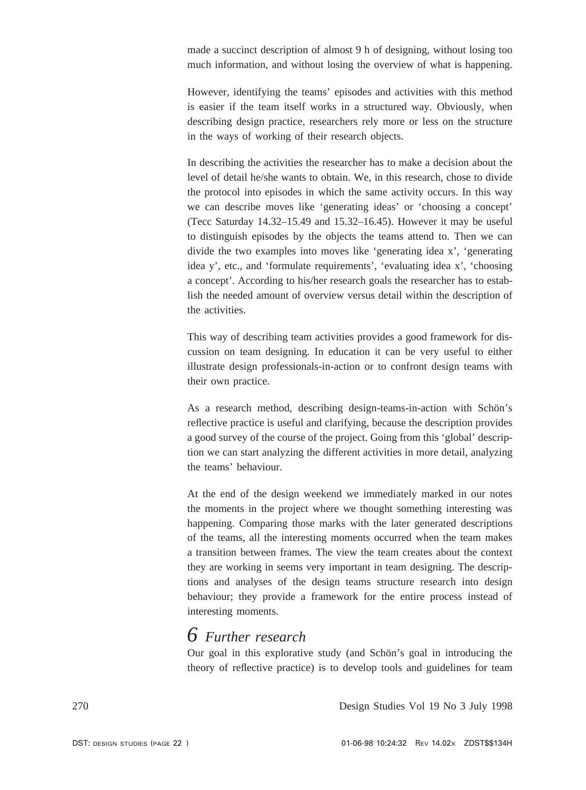made a succinct description of almost 9 h of designing, without losing too much information, and without losing the overview of what is happening.

However, identifying the teams' episodes and activities with this method is easier if the team itself works in a structured way. Obviously, when describing design practice, researchers rely more or less on the structure in the ways of working of their research objects.

In describing the activities the researcher has to make a decision about the level of detail he/she wants to obtain. We, in this research, chose to divide the protocol into episodes in which the same activity occurs. In this way we can describe moves like 'generating ideas' or 'choosing a concept' (Tecc Saturday 14.32–15.49 and 15.32–16.45). However it may be useful to distinguish episodes by the objects the teams attend to. Then we can divide the two examples into moves like 'generating idea x', 'generating idea y', etc., and 'formulate requirements', 'evaluating idea x', 'choosing a concept'. According to his/her research goals the researcher has to establish the needed amount of overview versus detail within the description of the activities.

This way of describing team activities provides a good framework for discussion on team designing. In education it can be very useful to either illustrate design professionals-in-action or to confront design teams with their own practice.

As a research method, describing design-teams-in-action with Schön's reflective practice is useful and clarifying, because the description provides a good survey of the course of the project. Going from this 'global' description we can start analyzing the different activities in more detail, analyzing the teams' behaviour.

At the end of the design weekend we immediately marked in our notes the moments in the project where we thought something interesting was happening. Comparing those marks with the later generated descriptions of the teams, all the interesting moments occurred when the team makes a transition between frames. The view the team creates about the context they are working in seems very important in team designing. The descriptions and analyses of the design teams structure research into design behaviour; they provide a framework for the entire process instead of interesting moments.

## *6 Further research*

Our goal in this explorative study (and Schön's goal in introducing the theory of reflective practice) is to develop tools and guidelines for team